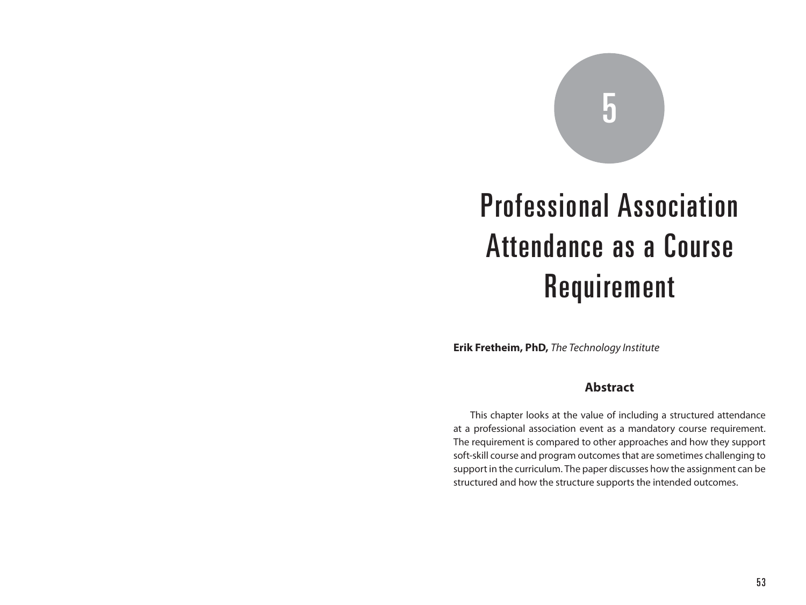# 5

# Professional Association Attendance as a Course Requirement

**Erik Fretheim, PhD,** *The Technology Institute*

#### **Abstract**

This chapter looks at the value of including a structured attendance at a professional association event as a mandatory course requirement. The requirement is compared to other approaches and how they support soft-skill course and program outcomes that are sometimes challenging to support in the curriculum. The paper discusses how the assignment can be structured and how the structure supports the intended outcomes.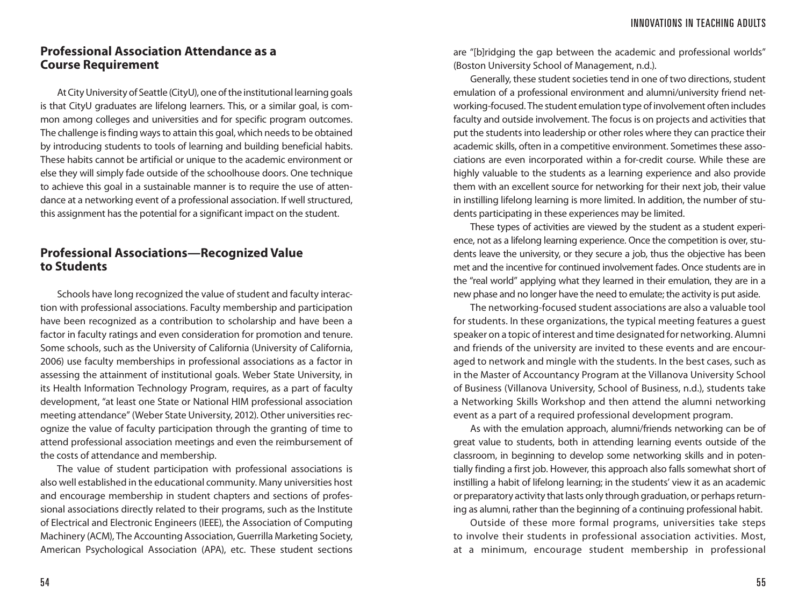#### **Professional Association Attendance as a Course Requirement**

At City University of Seattle (CityU), one of the institutional learning goals is that CityU graduates are lifelong learners. This, or a similar goal, is common among colleges and universities and for specific program outcomes. The challenge is finding ways to attain this goal, which needs to be obtained by introducing students to tools of learning and building beneficial habits. These habits cannot be artificial or unique to the academic environment or else they will simply fade outside of the schoolhouse doors. One technique to achieve this goal in a sustainable manner is to require the use of attendance at a networking event of a professional association. If well structured, this assignment has the potential for a significant impact on the student.

#### **Professional Associations—Recognized Value to Students**

Schools have long recognized the value of student and faculty interaction with professional associations. Faculty membership and participation have been recognized as a contribution to scholarship and have been a factor in faculty ratings and even consideration for promotion and tenure. Some schools, such as the University of California (University of California, 2006) use faculty memberships in professional associations as a factor in assessing the attainment of institutional goals. Weber State University, in its Health Information Technology Program, requires, as a part of faculty development, "at least one State or National HIM professional association meeting attendance" (Weber State University, 2012). Other universities recognize the value of faculty participation through the granting of time to attend professional association meetings and even the reimbursement of the costs of attendance and membership.

The value of student participation with professional associations is also well established in the educational community. Many universities host and encourage membership in student chapters and sections of professional associations directly related to their programs, such as the Institute of Electrical and Electronic Engineers (IEEE), the Association of Computing Machinery (ACM), The Accounting Association, Guerrilla Marketing Society, American Psychological Association (APA), etc. These student sections are "[b]ridging the gap between the academic and professional worlds" (Boston University School of Management, n.d.).

Generally, these student societies tend in one of two directions, student emulation of a professional environment and alumni/university friend networking-focused. The student emulation type of involvement often includes faculty and outside involvement. The focus is on projects and activities that put the students into leadership or other roles where they can practice their academic skills, often in a competitive environment. Sometimes these associations are even incorporated within a for-credit course. While these are highly valuable to the students as a learning experience and also provide them with an excellent source for networking for their next job, their value in instilling lifelong learning is more limited. In addition, the number of students participating in these experiences may be limited.

These types of activities are viewed by the student as a student experience, not as a lifelong learning experience. Once the competition is over, students leave the university, or they secure a job, thus the objective has been met and the incentive for continued involvement fades. Once students are in the "real world" applying what they learned in their emulation, they are in a new phase and no longer have the need to emulate; the activity is put aside.

The networking-focused student associations are also a valuable tool for students. In these organizations, the typical meeting features a guest speaker on a topic of interest and time designated for networking. Alumni and friends of the university are invited to these events and are encouraged to network and mingle with the students. In the best cases, such as in the Master of Accountancy Program at the Villanova University School of Business (Villanova University, School of Business, n.d.), students take a Networking Skills Workshop and then attend the alumni networking event as a part of a required professional development program.

As with the emulation approach, alumni/friends networking can be of great value to students, both in attending learning events outside of the classroom, in beginning to develop some networking skills and in potentially finding a first job. However, this approach also falls somewhat short of instilling a habit of lifelong learning; in the students' view it as an academic or preparatory activity that lasts only through graduation, or perhaps returning as alumni, rather than the beginning of a continuing professional habit.

Outside of these more formal programs, universities take steps to involve their students in professional association activities. Most, at a minimum, encourage student membership in professional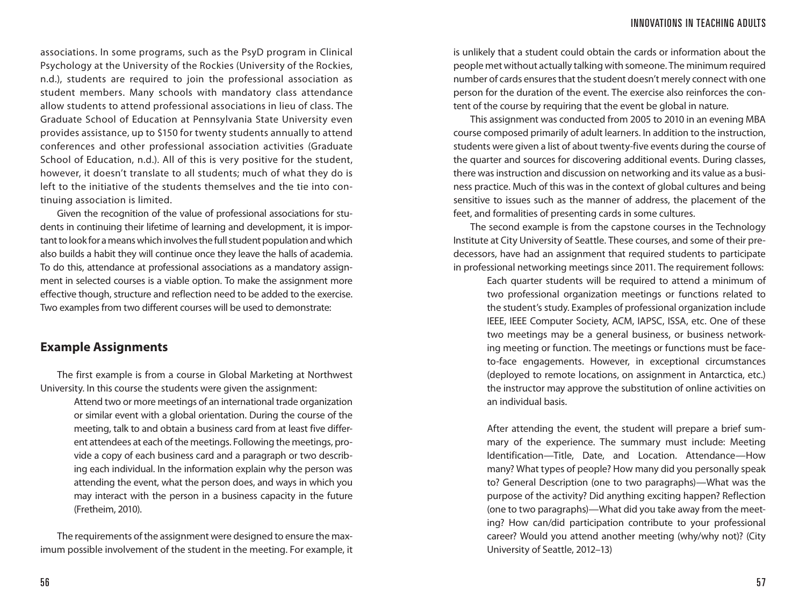associations. In some programs, such as the PsyD program in Clinical Psychology at the University of the Rockies (University of the Rockies, n.d.), students are required to join the professional association as student members. Many schools with mandatory class attendance allow students to attend professional associations in lieu of class. The Graduate School of Education at Pennsylvania State University even provides assistance, up to \$150 for twenty students annually to attend conferences and other professional association activities (Graduate School of Education, n.d.). All of this is very positive for the student, however, it doesn't translate to all students; much of what they do is left to the initiative of the students themselves and the tie into continuing association is limited.

Given the recognition of the value of professional associations for students in continuing their lifetime of learning and development, it is important to look for a means which involves the full student population and which also builds a habit they will continue once they leave the halls of academia. To do this, attendance at professional associations as a mandatory assignment in selected courses is a viable option. To make the assignment more effective though, structure and reflection need to be added to the exercise. Two examples from two different courses will be used to demonstrate:

#### **Example Assignments**

The first example is from a course in Global Marketing at Northwest University. In this course the students were given the assignment:

> Attend two or more meetings of an international trade organization or similar event with a global orientation. During the course of the meeting, talk to and obtain a business card from at least five different attendees at each of the meetings. Following the meetings, provide a copy of each business card and a paragraph or two describing each individual. In the information explain why the person was attending the event, what the person does, and ways in which you may interact with the person in a business capacity in the future (Fretheim, 2010).

The requirements of the assignment were designed to ensure the maximum possible involvement of the student in the meeting. For example, it is unlikely that a student could obtain the cards or information about the people met without actually talking with someone. The minimum required number of cards ensures that the student doesn't merely connect with one person for the duration of the event. The exercise also reinforces the content of the course by requiring that the event be global in nature.

This assignment was conducted from 2005 to 2010 in an evening MBA course composed primarily of adult learners. In addition to the instruction, students were given a list of about twenty-five events during the course of the quarter and sources for discovering additional events. During classes, there was instruction and discussion on networking and its value as a business practice. Much of this was in the context of global cultures and being sensitive to issues such as the manner of address, the placement of the feet, and formalities of presenting cards in some cultures.

The second example is from the capstone courses in the Technology Institute at City University of Seattle. These courses, and some of their predecessors, have had an assignment that required students to participate in professional networking meetings since 2011. The requirement follows:

> Each quarter students will be required to attend a minimum of two professional organization meetings or functions related to the student's study. Examples of professional organization include IEEE, IEEE Computer Society, ACM, IAPSC, ISSA, etc. One of these two meetings may be a general business, or business networking meeting or function. The meetings or functions must be faceto-face engagements. However, in exceptional circumstances (deployed to remote locations, on assignment in Antarctica, etc.) the instructor may approve the substitution of online activities on an individual basis.

> After attending the event, the student will prepare a brief summary of the experience. The summary must include: Meeting Identification—Title, Date, and Location. Attendance—How many? What types of people? How many did you personally speak to? General Description (one to two paragraphs)—What was the purpose of the activity? Did anything exciting happen? Reflection (one to two paragraphs)—What did you take away from the meeting? How can/did participation contribute to your professional career? Would you attend another meeting (why/why not)? (City University of Seattle, 2012–13)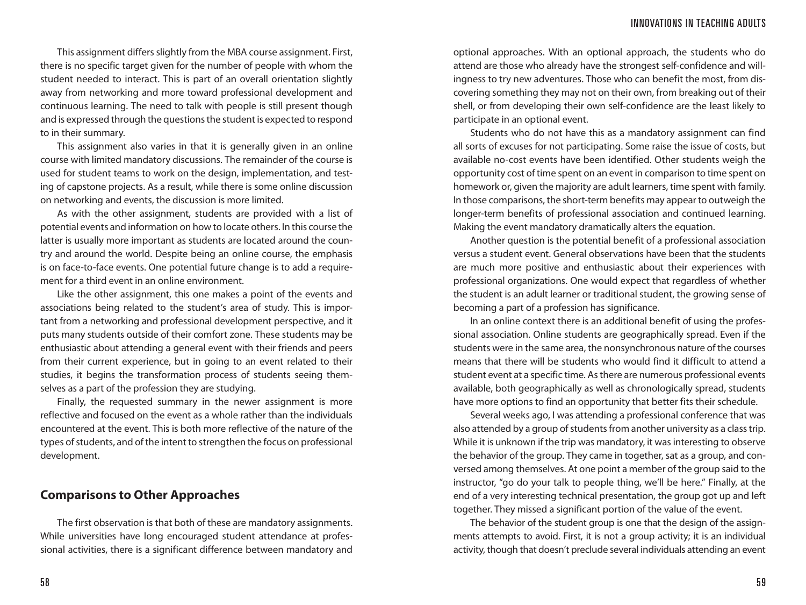This assignment differs slightly from the MBA course assignment. First, there is no specific target given for the number of people with whom the student needed to interact. This is part of an overall orientation slightly away from networking and more toward professional development and continuous learning. The need to talk with people is still present though and is expressed through the questions the student is expected to respond to in their summary.

This assignment also varies in that it is generally given in an online course with limited mandatory discussions. The remainder of the course is used for student teams to work on the design, implementation, and testing of capstone projects. As a result, while there is some online discussion on networking and events, the discussion is more limited.

As with the other assignment, students are provided with a list of potential events and information on how to locate others. In this course the latter is usually more important as students are located around the country and around the world. Despite being an online course, the emphasis is on face-to-face events. One potential future change is to add a requirement for a third event in an online environment.

Like the other assignment, this one makes a point of the events and associations being related to the student's area of study. This is important from a networking and professional development perspective, and it puts many students outside of their comfort zone. These students may be enthusiastic about attending a general event with their friends and peers from their current experience, but in going to an event related to their studies, it begins the transformation process of students seeing themselves as a part of the profession they are studying.

Finally, the requested summary in the newer assignment is more reflective and focused on the event as a whole rather than the individuals encountered at the event. This is both more reflective of the nature of the types of students, and of the intent to strengthen the focus on professional development.

#### **Comparisons to Other Approaches**

The first observation is that both of these are mandatory assignments. While universities have long encouraged student attendance at professional activities, there is a significant difference between mandatory and

optional approaches. With an optional approach, the students who do attend are those who already have the strongest self-confidence and willingness to try new adventures. Those who can benefit the most, from discovering something they may not on their own, from breaking out of their shell, or from developing their own self-confidence are the least likely to participate in an optional event.

Students who do not have this as a mandatory assignment can find all sorts of excuses for not participating. Some raise the issue of costs, but available no-cost events have been identified. Other students weigh the opportunity cost of time spent on an event in comparison to time spent on homework or, given the majority are adult learners, time spent with family. In those comparisons, the short-term benefits may appear to outweigh the longer-term benefits of professional association and continued learning. Making the event mandatory dramatically alters the equation.

Another question is the potential benefit of a professional association versus a student event. General observations have been that the students are much more positive and enthusiastic about their experiences with professional organizations. One would expect that regardless of whether the student is an adult learner or traditional student, the growing sense of becoming a part of a profession has significance.

In an online context there is an additional benefit of using the professional association. Online students are geographically spread. Even if the students were in the same area, the nonsynchronous nature of the courses means that there will be students who would find it difficult to attend a student event at a specific time. As there are numerous professional events available, both geographically as well as chronologically spread, students have more options to find an opportunity that better fits their schedule.

Several weeks ago, I was attending a professional conference that was also attended by a group of students from another university as a class trip. While it is unknown if the trip was mandatory, it was interesting to observe the behavior of the group. They came in together, sat as a group, and conversed among themselves. At one point a member of the group said to the instructor, "go do your talk to people thing, we'll be here." Finally, at the end of a very interesting technical presentation, the group got up and left together. They missed a significant portion of the value of the event.

The behavior of the student group is one that the design of the assignments attempts to avoid. First, it is not a group activity; it is an individual activity, though that doesn't preclude several individuals attending an event